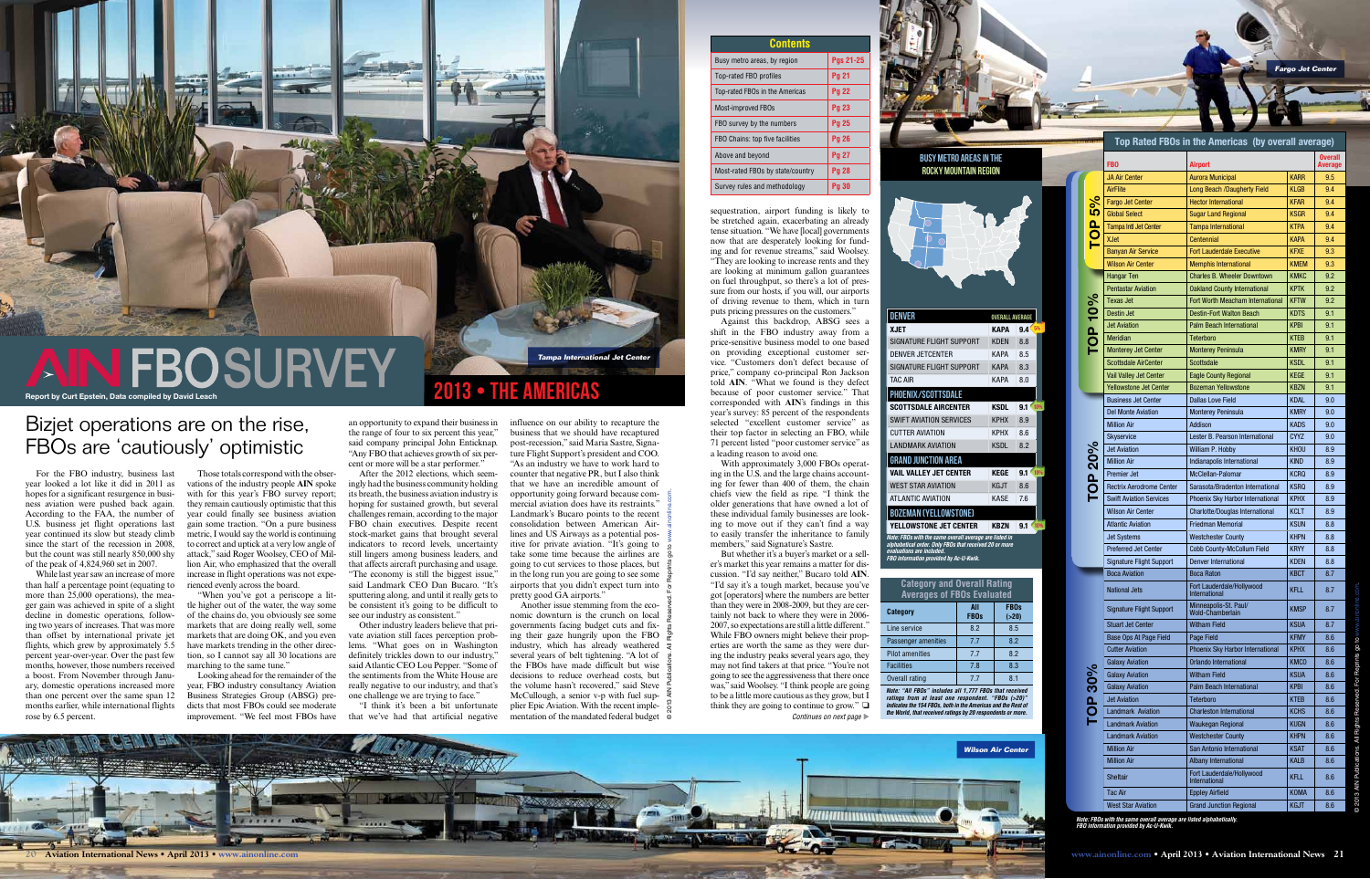## Bizjet operations are on the rise, FBOs are 'cautiously' optimistic

For the FBO industry, business last year looked a lot like it did in 2011 as hopes for a significant resurgence in business aviation were pushed back again. According to the FAA, the number of U.S. business jet flight operations last year continued its slow but steady climb since the start of the recession in 2008, but the count was still nearly 850,000 shy of the peak of 4,824,960 set in 2007.

> "When you've got a periscope a little higher out of the water, the way some of the chains do, you obviously see some markets that are doing really well, some markets that are doing OK, and you even have markets trending in the other direction, so I cannot say all 30 locations are marching to the same tune."

While last year saw an increase of more than half a percentage point (equating to more than 25,000 operations), the meager gain was achieved in spite of a slight decline in domestic operations, following two years of increases. That was more than offset by international private jet flights, which grew by approximately 5.5 percent year-over-year. Over the past few months, however, those numbers received a boost. From November through January, domestic operations increased more than one percent over the same span 12 months earlier, while international flights rose by 6.5 percent.

Those totals correspond with the observations of the industry people **AIN** spoke with for this year's FBO survey report; they remain cautiously optimistic that this year could finally see business aviation gain some traction. "On a pure business metric, I would say the world is continuing to correct and uptick at a very low angle of attack," said Roger Woolsey, CEO of Million Air, who emphasized that the overall increase in flight operations was not experienced evenly across the board.

Looking ahead for the remainder of the year, FBO industry consultancy Aviation Business Strategies Group (ABSG) predicts that most FBOs could see moderate improvement. "We feel most FBOs have an opportunity to expand their business in the range of four to six percent this year," said company principal John Enticknap. "Any FBO that achieves growth of six percent or more will be a star performer."

#### Top Rated FBOs in the Americas (by overall average) Busy metro areas in the Overall FBO **Airport** Average Rocky Mountain region JA Air Center **Aurora Municipal Aurora Municipal KARR** 9.5 AirFlite **Long Beach /Daugherty Field** KLGB 3.4 TOP 30% TOP 20% TOP 20% TOP 10% TOP 5% Fargo Jet Center **Hector International** KFAR 3.4 10 Global Select Sugar Land Regional KSGR 9.4 Tampa Intl Jet Center Tampa International KTPA 3.4  $\overline{\mathbf{C}}$ XJet **Centennial KAPA** 9.4 Banyan Air Service **Fort Lauderdale Executive** KFXE 3.3 Wilson Air Center Memphis International KMEM 9.3 Hangar Ten  $|$  Charles B. Wheeler Downtown  $|$  KMKC  $|$  9.2 Pentastar Aviation | Oakland County International | KPTK | 9.2 10%  $\mathsf{TOP}\;10\%$ Texas Jet  $\vert$  Fort Worth Meacham International  $\vert$  KFTW  $\vert$  9.2 Destin Jet **Destin-Fort Walton Beach** KDTS | 9.1 DENVER OVERALL AVERAGE Jet Aviation Palm Beach International KPBI 9.1 XJET KAPA 9.4 5%  $\overline{\mathsf{O}}$ SIGNATURE FLIGHT SUPPORT KDEN 8.8 Meridian Teterboro KTEB 9.1 Monterey Jet Center | Monterey Peninsula | KMRY | 9.1 DENVER JETCENTER KAPA 8.5 Scottsdale AirCenter | Scottsdale KSDL | 9.1 SIGNATURE FLIGHT SUPPORT KAPA 8.3 Vail Valley Jet Center  $\vert$  Eagle County Regional  $\vert$  KEGE  $\vert$  9.1 TAC AIR KAPA 8.0 Yellowstone Jet Center Bozeman Yellowstone | KBZN | 9.1 Business Jet Center | Dallas Love Field | KDAL | 9.0 **KSDL**  $9.1 \times 109$ Del Monte Aviation Monterey Peninsula KMRY 9.0 SWIFT AVIATION SERVICES KPHX 8.9 Million Air **Addison** Research Addison Research Research Research Research Research Research Research Research R CUTTER AVIATION KPHX 8.6 Skyservice  $\vert$  Lester B. Pearson International  $\vert$  CYYZ  $\vert$  9.0 LANDMARK AVIATION KSDL 8.2 **20%** TOP 20% Jet Aviation William P. Hobby KHOU 8.9 Million Air **Indianapolis International** KIND 8.9 VAIL VALLEY JET CENTER KEGE 9.1 10% Premier Jet McClellan-Palomar KCRQ 8.9  $\Omega$ WEST STAR AVIATION KGJT 8.6 Rectrix Aerodrome Center | Sarasota/Bradenton International | KSRQ | 8.9 **TO** ATLANTIC AVIATION KASE 7.6 Swift Aviation Services | Phoenix Sky Harbor International | KPHX | 8.9 Wilson Air Center | Charlotte/Douglas International | KCLT | 8.9 Atlantic Aviation **Friedman Memorial** KSUN 8.8 YELLOWSTONE JET CENTER **KBZN**  $9.1 \times 10^{10}$ Jet Systems Westchester County KHPN 8.8 *Note: FBOs with the same overall average are listed in alphabetical order. Only FBOs that received 20 or more*  Preferred Jet Center | Cobb County-McCollum Field | KRYY | 8.8 *FBO information provided by Ac-U-Kwik.* Signature Flight Support | Denver International | KDEN | 8.8 Boca Aviation Boca Raton Research Research Research Research Research Research Research Research Research Research Research Research Research Research Research Research Research Research Research Research Research Research **Category and Overall Rating**  National Jets **Fort Lauderdale/Hollywood** KFLL 8.7 **Averages of FBOs Evaluated FBOs**  Signature Flight Support Minneapolis-St. Paul/ KMSP | 8.7 **Category All FBOs (>20)** Stuart Jet Center | Witham Field | KSUA | 8.7 Line service  $\begin{vmatrix} 8.2 & 8.5 \end{vmatrix}$ Base Ops At Page Field Page Field Rate Control Research Research Research Research Research Research Research R Passenger amenities | 7.7 | 8.2 Cutter Aviation | Phoenix Sky Harbor International | KPHX | 8.6 Pilot amenities 2.7 2.2 Galaxy Aviation Orlando International KMCO 8.6 Facilities  $\begin{array}{|c|c|c|c|c|} \hline \text{Facilities} & \text{7.8} & \text{8.3} \ \hline \end{array}$ 30% Galaxy Aviation Witham Field KSUA 8.6 Overall rating  $\begin{array}{|c|c|c|c|c|} \hline \end{array}$  7.7  $\begin{array}{|c|c|c|c|} \hline \end{array}$  8.1 Galaxy Aviation Palm Beach International KPBI 8.6 *Note: "All FBOs" includes all 1,777 FBOs that received*  Jet Aviation **Teterboro** Reserves Reserves Reserves Aviation 8.6  $\sigma$ *ratings from at least one respondent. "FBOs (>20)" indicates the 154 FBOs, both in the Americas and the Rest of*  Landmark Aviation | Charleston International | KCHS | 8.6 *the World, that received ratings by 20 respondents or more.* Landmark Aviation | Waukegan Regional | KUGN | 8.6 Landmark Aviation Westchester County KHPN 8.6 Million Air San Antonio International KSAT 8.6 **Wilson Air Center** Million Air **Albany International** KALB 8.6 Sheltair **Fort Lauderdale/Hollywood** KFLL 8.6 Tac Air **Eppley Airfield** Executive Research Air Roman New York Research Air Roman New York Research Air Research West Star Aviation **Grand Junction Regional** KGJT 8.6

After the 2012 elections, which seemingly had the business community holding its breath, the business aviation industry is hoping for sustained growth, but several challenges remain, according to the major FBO chain executives. Despite recent stock-market gains that brought several indicators to record levels, uncertainty still lingers among business leaders, and that affects aircraft purchasing and usage. "The economy is still the biggest issue," said Landmark CEO Dan Bucaro. "It's sputtering along, and until it really gets to be consistent it's going to be difficult to see our industry as consistent."

Other industry leaders believe that private aviation still faces perception problems. "What goes on in Washington definitely trickles down to our industry," said Atlantic CEO Lou Pepper. "Some of the sentiments from the White House are really negative to our industry, and that's one challenge we are trying to face."

"I think it's been a bit unfortunate that we've had that artificial negative But whether it's a buyer's market or a sell-*Continues on next page* 

er's market this year remains a matter for discussion. "I'd say neither," Bucaro told **AIN**. "I'd say it's a tough market, because you've got [operators] where the numbers are better than they were in 2008-2009, but they are certainly not back to where they were in 2006- 2007, so expectations are still a little different." While FBO owners might believe their properties are worth the same as they were during the industry peaks several years ago, they may not find takers at that price. "You're not going to see the aggressiveness that there once was," said Woolsey. "I think people are going to be a little more cautious as they grow, but I think they are going to continue to grow."  $\Box$ 

Another issue stemming from the economic downturn is the crunch on local governments facing budget cuts and fixing their gaze hungrily upon the FBO industry, which has already weathered several years of belt tightening. "A lot of the FBOs have made difficult but wise decisions to reduce overhead costs, but the volume hasn't recovered," said Steve McCullough, a senior v-p with fuel supplier Epic Aviation. With the recent implementation of the mandated federal budget



| <u>ents</u> |                  |  |
|-------------|------------------|--|
| on          | <b>Pgs 21-25</b> |  |
|             | <b>Pg 21</b>     |  |
| ericas      | <b>Pg 22</b>     |  |
|             | <b>Pg 23</b>     |  |
| rs          | <b>Pg 25</b>     |  |
| ties        | <b>Pg 26</b>     |  |
|             | <b>Pg 27</b>     |  |
| country'    | <b>Pg 28</b>     |  |
| plogy       | <b>Pg 30</b>     |  |

**Con** 

2013 • The Americas

influence on our ability to recapture the business that we should have recaptured post-recession," said Maria Sastre, Signature Flight Support's president and COO. "As an industry we have to work hard to counter that negative PR, but I also think that we have an incredible amount of opportunity going forward because commercial aviation does have its restraints." Landmark's Bucaro points to the recent consolidation between American Airlines and US Airways as a potential positive for private aviation. "It's going to take some time because the airlines are going to cut services to those places, but in the long run you are going to see some airports that you didn't expect turn into pretty good GA airports." © 2013 AIN Publications. All Rights Reserved. For Reprints go to <www.ainonline.com>.

sequestration, airport funding is likely to be stretched again, exacerbating an already tense situation. "We have [local] governments now that are desperately looking for funding and for revenue streams," said Woolsey. "They are looking to increase rents and they are looking at minimum gallon guarantees on fuel throughput, so there's a lot of pressure from our hosts, if you will, our airports of driving revenue to them, which in turn puts pricing pressures on the customers."

Against this backdrop, ABSG sees a shift in the FBO industry away from a price-sensitive business model to one based on providing exceptional customer service. "Customers don't defect because of price," company co-principal Ron Jackson told **AIN**. "What we found is they defect because of poor customer service." That corresponded with **AIN**'s findings in this year's survey: 85 percent of the respondents selected "excellent customer service" as their top factor in selecting an FBO, while 71 percent listed "poor customer service" as

PHOENIX/SCOTTSDALE **SCOTTSDALE AIRCENTER** 

a leading reason to avoid one.

ing in the U.S. and the large chains accounting for fewer than 400 of them, the chain chiefs view the field as ripe. "I think the older generations that have owned a lot of these individual family businesses are looking to move out if they can't find a way to easily transfer the inheritance to family members," said Signature's Sastre.

> *Note: FBOs with the same overall average are listed alphabetically. FBO information provided by Ac-U-Kwik.*



Grand Junction Area

Bozeman (Yellowstone)

*evaluations are included.* 

With approximately 3,000 FBOs operat-

Report by Curt Epstein, Data compiled by David Leach

# **Fargo Jet Center**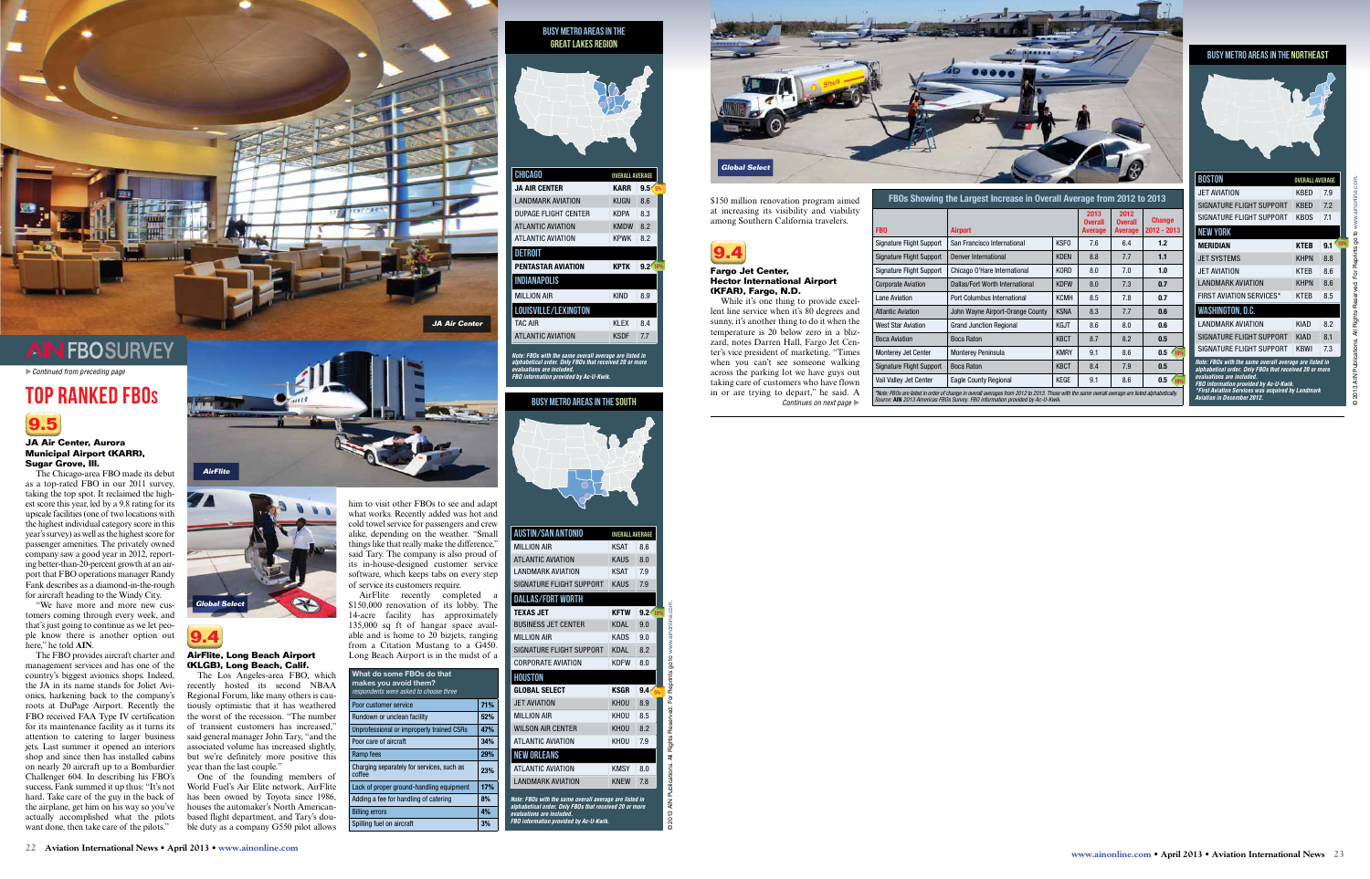

#### **JA Air Center, Aurora Municipal Airport (KARR), Sugar Grove, Ill.**

The Chicago-area FBO made its debut as a top-rated FBO in our 2011 survey, taking the top spot. It reclaimed the highest score this year, led by a 9.8 rating for its upscale facilities (one of two locations with the highest individual category score in this year's survey) as well as the highest score for passenger amenities. The privately owned company saw a good year in 2012, reporting better-than-20-percent growth at an airport that FBO operations manager Randy Fank describes as a diamond-in-the-rough for aircraft heading to the Windy City.

"We have more and more new customers coming through every week, and that's just going to continue as we let people know there is another option out here," he told **AIN**.

The FBO provides aircraft charter and **AirFlite, Long Beach Airport**  management services and has one of the **(KLGB), Long Beach, Calif.** country's biggest avionics shops. Indeed, the JA in its name stands for Joliet Avionics, harkening back to the company's roots at DuPage Airport. Recently the tiously optimistic that it has weathered FBO received FAA Type IV certification the worst of the recession. "The number for its maintenance facility as it turns its of transient customers has increased," attention to catering to larger business said general manager John Tary, "and the jets. Last summer it opened an interiors associated volume has increased slightly, shop and since then has installed cabins but we're definitely more positive this on nearly 20 aircraft up to a Bombardier Challenger 604. In describing his FBO's success, Fank summed it up thus: "It's not hard. Take care of the guy in the back of the airplane, get him on his way so you've houses the automaker's North Americanactually accomplished what the pilots want done, then take care of the pilots."

**9.4**

The Los Angeles-area FBO, which recently hosted its second NBAA Regional Forum, like many others is cauyear than the last couple."

One of the founding members of World Fuel's Air Elite network, AirFlite has been owned by Toyota since 1986, based flight department, and Tary's double duty as a company G550 pilot allows him to visit other FBOs to see and adapt what works. Recently added was hot and cold towel service for passengers and crew alike, depending on the weather. "Small things like that really make the difference," said Tary. The company is also proud of its in-house-designed customer service software, which keeps tabs on every step of service its customers require.

AirFlite recently completed a \$150,000 renovation of its lobby. The 14-acre facility has approximately 135,000 sq ft of hangar space available and is home to 20 bizjets, ranging from a Citation Mustang to a G450. Long Beach Airport is in the midst of a

\$150 million renovation program aimed at increasing its visibility and viability among Southern California travelers.



#### **Fargo Jet Center, Hector International Airport (KFAR), Fargo, N.D.**

While it's one thing to provide excellent line service when it's 80 degrees and sunny, it's another thing to do it when the temperature is 20 below zero in a blizzard, notes Darren Hall, Fargo Jet Center's vice president of marketing. "Times when you can't see someone walking across the parking lot we have guys out taking care of customers who have flown in or are trying to depart," he said. A *Continues on next page* 

*Note: FBOs with the same overall average are listed in alphabetical order. Only FBOs that received 20 or more evaluations are included. FBO information provided by Ac-U-Kwik.*

| <b>BOSTON</b>                                                                                                                                 | <b>OVERALL AVERAGE</b> |            |
|-----------------------------------------------------------------------------------------------------------------------------------------------|------------------------|------------|
| <b>JET AVIATION</b>                                                                                                                           | KBFD                   | 7.9        |
| SIGNATURE FLIGHT SUPPORT                                                                                                                      | KBFD                   | 7.2        |
| SIGNATURE FLIGHT SUPPORT                                                                                                                      | KBOS                   | 7.1        |
| <b>NEW YORK</b>                                                                                                                               |                        |            |
| MERIDIAN                                                                                                                                      | <b>KTEB</b>            | 10%<br>9.1 |
| <b>JET SYSTEMS</b>                                                                                                                            | <b>KHPN</b>            | 8.8        |
| <b>JET AVIATION</b>                                                                                                                           | KTFR                   | 8.6        |
| <b>LANDMARK AVIATION</b>                                                                                                                      | <b>KHPN</b>            | 8.6        |
| <b>FIRST AVIATION SERVICES*</b>                                                                                                               | KTFR                   | 8.5        |
| <b>WASHINGTON, D.C.</b>                                                                                                                       |                        |            |
| I ANDMARK AVIATION                                                                                                                            | <b>KIAD</b>            | 8.2        |
| SIGNATURE FLIGHT SUPPORT                                                                                                                      | <b>KIAD</b>            | 81         |
| SIGNATURE ELIGHT SUPPORT                                                                                                                      | KBWI                   | 7.3        |
| Note: FBOs with the same overall average are listed in<br>alphabetical order. Only FBOs that received 20 or more<br>evaluations are included. |                        |            |

#### Busy metro areas in the Northeast



*FBO information provided by Ac-U-Kwik. \*First Aviation Services was acquired by Landmark* 

*Aviation in December 2012.*

| <b>BUSY METRO AREAS IN THE</b><br><b>GREAT LAKES REGION</b> |                        |                         |  |
|-------------------------------------------------------------|------------------------|-------------------------|--|
|                                                             |                        |                         |  |
| <b>CHICAGO</b>                                              | <b>OVERALL AVERAGE</b> |                         |  |
| <b>JA AIR CENTER</b>                                        | <b>KARR</b>            | 9.5 <sub>0</sub><br>5%  |  |
| <b>LANDMARK AVIATION</b>                                    | <b>KUGN</b>            | 8.6                     |  |
| DUPAGE FLIGHT CENTER                                        | <b>KDPA</b>            | 8.3                     |  |
| <b>ATLANTIC AVIATION</b>                                    | <b>KMDW</b>            | 8.2                     |  |
| <b>ATLANTIC AVIATION</b>                                    | <b>KPWK</b>            | 8.2                     |  |
| <b>DETROIT</b>                                              |                        |                         |  |
| <b>PENTASTAR AVIATION</b>                                   | <b>KPTK</b>            | 10%<br>9.2 <sup>0</sup> |  |
| <b>INDIANAPOLIS</b>                                         |                        |                         |  |
| <b>MILLION AIR</b>                                          | <b>KIND</b>            | 8.9                     |  |
| LOUISVILLE/LEXINGTON                                        |                        |                         |  |
| <b>TAC AIR</b>                                              | KI FX                  | 8.4                     |  |
| <b>ATLANTIC AVIATION</b>                                    | <b>KSDF</b>            | 7.7                     |  |
|                                                             |                        |                         |  |

| FBOs Showing the Largest Increase in Overall Average from 2012 to 2013                                                                                                                                                           |                                  |             |                                          |                                          |                              |
|----------------------------------------------------------------------------------------------------------------------------------------------------------------------------------------------------------------------------------|----------------------------------|-------------|------------------------------------------|------------------------------------------|------------------------------|
| <b>FBO</b>                                                                                                                                                                                                                       | <b>Airport</b>                   |             | 2013<br><b>Overall</b><br><b>Average</b> | 2012<br><b>Overall</b><br><b>Average</b> | <b>Change</b><br>2012 - 2013 |
| Signature Flight Support                                                                                                                                                                                                         | San Francisco International      | <b>KSFO</b> | 7.6                                      | 6.4                                      | 1.2                          |
| <b>Signature Flight Support</b>                                                                                                                                                                                                  | Denver International             | <b>KDFN</b> | 8.8                                      | 7.7                                      | 1.1                          |
| Signature Flight Support                                                                                                                                                                                                         | Chicago O'Hare International     | <b>KORD</b> | 8.0                                      | 7.0                                      | 1.0                          |
| <b>Corporate Aviation</b>                                                                                                                                                                                                        | Dallas/Fort Worth International  | <b>KDFW</b> | 8.0                                      | 7.3                                      | 0.7                          |
| Lane Aviation                                                                                                                                                                                                                    | Port Columbus International      | <b>KCMH</b> | 8.5                                      | 7.8                                      | 0.7                          |
| <b>Atlantic Aviation</b>                                                                                                                                                                                                         | John Wayne Airport-Orange County | <b>KSNA</b> | 8.3                                      | 7.7                                      | 0.6                          |
| <b>West Star Aviation</b>                                                                                                                                                                                                        | <b>Grand Junction Regional</b>   | <b>KGJT</b> | 8.6                                      | 8.0                                      | 0.6                          |
| <b>Boca Aviation</b>                                                                                                                                                                                                             | <b>Boca Raton</b>                | <b>KBCT</b> | 8.7                                      | 8.2                                      | 0.5                          |
| <b>Monterey Jet Center</b>                                                                                                                                                                                                       | <b>Monterey Peninsula</b>        | <b>KMRY</b> | 9.1                                      | 8.6                                      | 0.5<br>10%                   |
| Signature Flight Support                                                                                                                                                                                                         | <b>Boca Raton</b>                | <b>KBCT</b> | 8.4                                      | 7.9                                      | 0.5                          |
| Vail Valley Jet Center                                                                                                                                                                                                           | Eagle County Regional            | <b>KEGE</b> | 9.1                                      | 8.6                                      | 0.5<br>10%                   |
| *Note: FBOs are listed in order of change in overall averages from 2012 to 2013. Those with the same overall average are listed alphabetically.<br>Source: AIN 2013 Americas FBOs Survey. FBO information provided by Ac-U-Kwik. |                                  |             |                                          |                                          |                              |

#### Busy metro areas in the South



| <b>AUSTIN/SAN ANTONIO</b>                                                                                                                                                                      | <b>OVERALL AVERAGE</b> |                         |                                                           |
|------------------------------------------------------------------------------------------------------------------------------------------------------------------------------------------------|------------------------|-------------------------|-----------------------------------------------------------|
| MILLION AIR                                                                                                                                                                                    | KSAT                   | 8.6                     |                                                           |
| <b>ATLANTIC AVIATION</b>                                                                                                                                                                       | <b>KAUS</b>            | 8.0                     |                                                           |
| <b>I ANDMARK AVIATION</b>                                                                                                                                                                      | <b>KSAT</b>            | 7.9                     |                                                           |
| SIGNATURE FLIGHT SUPPORT                                                                                                                                                                       | <b>KAUS</b>            | 7.9                     |                                                           |
| <b>DALLAS/FORT WORTH</b>                                                                                                                                                                       |                        |                         |                                                           |
| <b>TEXAS JET</b>                                                                                                                                                                               | <b>KFTW</b>            | $9.2 \frac{10\%}{10\%}$ |                                                           |
| <b>BUSINESS JET CENTER</b>                                                                                                                                                                     | <b>KDAL</b>            | 9.0                     |                                                           |
| <b>MILLION AIR</b>                                                                                                                                                                             | KADS                   | 9.0                     |                                                           |
| SIGNATURE FLIGHT SUPPORT                                                                                                                                                                       | <b>KDAL</b>            | 8.2                     |                                                           |
| <b>CORPORATE AVIATION</b>                                                                                                                                                                      | <b>KDFW</b>            | 8.0                     |                                                           |
| <b>HOUSTON</b>                                                                                                                                                                                 |                        |                         | All Rights Reserved. For Reprints go to www.ainonline.com |
| <b>GLOBAL SELECT</b>                                                                                                                                                                           | <b>KSGR</b>            | 9.4<br>5%               |                                                           |
| <b>JET AVIATION</b>                                                                                                                                                                            | <b>KHOU</b>            | 8.9                     |                                                           |
| <b>MILLION AIR</b>                                                                                                                                                                             | KHOU                   | 8.5                     |                                                           |
| <b>WILSON AIR CENTER</b>                                                                                                                                                                       | <b>KHOU</b>            | 8.2                     |                                                           |
| <b>ATLANTIC AVIATION</b>                                                                                                                                                                       | KHOU                   | 7.9                     |                                                           |
| <b>NEW ORLEANS</b>                                                                                                                                                                             |                        |                         |                                                           |
| <b>ATLANTIC AVIATION</b>                                                                                                                                                                       | <b>KMSY</b>            | 8.0                     |                                                           |
| <b>LANDMARK AVIATION</b>                                                                                                                                                                       | <b>KNFW</b>            | 7.8                     | 2013 AIN Publications.                                    |
| Note: FBOs with the same overall average are listed in<br>alphabetical order. Only FBOs that received 20 or more<br>evaluations are included.<br><b>FBO</b> information provided by Ac-U-Kwik. |                        |                         |                                                           |

u*Continued from preceding page*



## **FBOSURVEY**







| What do some FBOs do that<br>makes you avoid them?<br>respondents were asked to choose three |     |
|----------------------------------------------------------------------------------------------|-----|
| Poor customer service                                                                        | 71% |
| Rundown or unclean facility                                                                  | 52% |
| Unprofessional or improperly trained CSRs                                                    | 47% |
| Poor care of aircraft                                                                        | 34% |
| Ramp fees                                                                                    | 29% |
| Charging separately for services, such as<br>coffee                                          | 23% |
| Lack of proper ground-handling equipment                                                     | 17% |
| Adding a fee for handling of catering                                                        | 8%  |
| <b>Billing errors</b>                                                                        | 4%  |
| Spilling fuel on aircraft                                                                    | 3%  |

# Top Ranked FBOs

© 2013 AIN Publications. All Rights Reserved. For Reprints go to <www.ainonline.com>.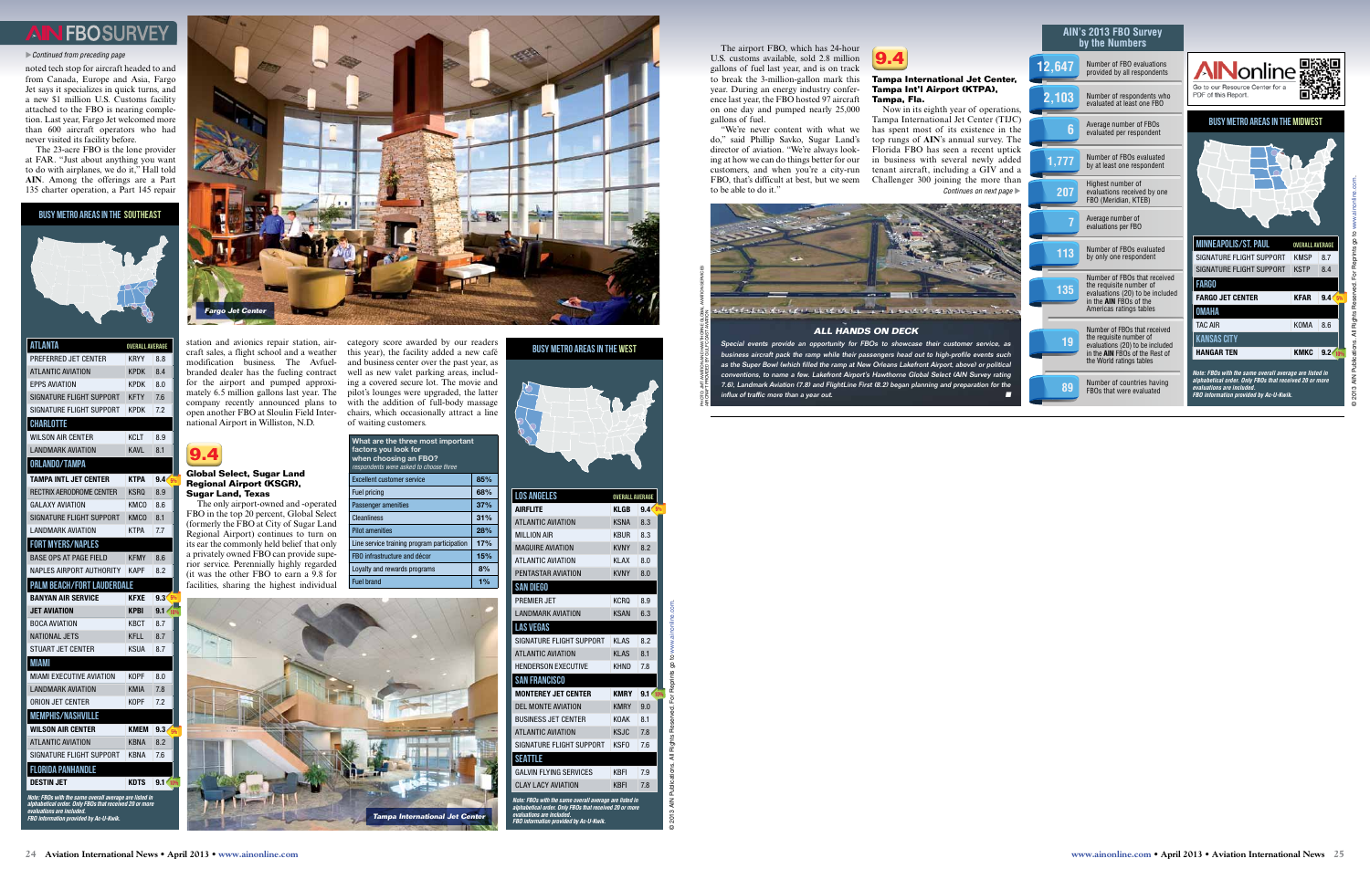do," said Phillip Savko, Sugar Land's director of aviation. "We're always looking at how we can do things better for our customers, and when you're a city-run FBO, that's difficult at best, but we seem to be able to do it.'

The airport FBO, which has 24-hour U.S. customs available, sold 2.8 million gallons of fuel last year, and is on track to break the 3-million-gallon mark this year. During an energy industry conference last year, the FBO hosted 97 aircraft on one day and pumped nearly 25,000 gallons of fuel.

Now in its eighth year of operations, Tampa International Jet Center (TIJC) has spent most of its existence in the top rungs of **AIN**'s annual survey. The Florida FBO has seen a recent uptick in business with several newly added tenant aircraft, including a GIV and a Challenger 300 joining the more than *Continues on next page* 

"We're never content with what we



#### **Tampa International Jet Center, Tampa Int'l Airport (KTPA), Tampa, Fla.**

noted tech stop for aircraft headed to and from Canada, Europe and Asia, Fargo Jet says it specializes in quick turns, and a new \$1 million U.S. Customs facility attached to the FBO is nearing completion. Last year, Fargo Jet welcomed more than 600 aircraft operators who had never visited its facility before.

The 23-acre FBO is the lone provider at FAR. "Just about anything you want to do with airplanes, we do it," Hall told **AIN**. Among the offerings are a Part 135 charter operation, a Part 145 repair

station and avionics repair station, air-category score awarded by our readers craft sales, a flight school and a weather this year), the facility added a new café modification business. The Avfuel-and business center over the past year, as branded dealer has the fueling contract well as new valet parking areas, includfor the airport and pumped approxi-ing a covered secure lot. The movie and mately 6.5 million gallons last year. The pilot's lounges were upgraded, the latter company recently announced plans to with the addition of full-body massage open another FBO at Sloulin Field Inter-chairs, which occasionally attract a line national Airport in Williston, N.D.

# **9.4**

#### **Global Select, Sugar Land Regional Airport (KSGR), Sugar Land, Texas**

The only airport-owned and -operated FBO in the top 20 percent, Global Select (formerly the FBO at City of Sugar Land Regional Airport) continues to turn on its ear the commonly held belief that only a privately owned FBO can provide superior service. Perennially highly regarded (it was the other FBO to earn a 9.8 for facilities, sharing the highest individual

of waiting customers.

| What are the three most important<br>factors you look for<br>when choosing an FBO?<br>respondents were asked to choose three |       |  |
|------------------------------------------------------------------------------------------------------------------------------|-------|--|
| <b>Excellent customer service</b>                                                                                            | 85%   |  |
| Fuel pricing                                                                                                                 | 68%   |  |
| <b>Passenger amenities</b>                                                                                                   | 37%   |  |
| Cleanliness                                                                                                                  | 31%   |  |
| <b>Pilot amenities</b>                                                                                                       | 28%   |  |
| Line service training program participation                                                                                  | 17%   |  |
| FBO infrastructure and décor                                                                                                 | 15%   |  |
| Loyalty and rewards programs                                                                                                 | 8%    |  |
| <b>Fuel brand</b>                                                                                                            | $1\%$ |  |

#### Busy metro areas in the Southeast







| <b>ATLANTA</b>                    | <b>OVERALL AVERAGE</b> |                         |
|-----------------------------------|------------------------|-------------------------|
| PREFERRED JET CENTER              | KRYY                   | 8.8                     |
| <b>ATLANTIC AVIATION</b>          | KPDK                   | 8.4                     |
| <b>EPPS AVIATION</b>              | <b>KPDK</b>            | 8.0                     |
| SIGNATURE FLIGHT SUPPORT          | <b>KFTY</b>            | 7.6                     |
| SIGNATURE FLIGHT SUPPORT          | KPDK                   | 7.2                     |
| <b>CHARLOTTE</b>                  |                        |                         |
| WILSON AIR CENTER                 | <b>KCLT</b>            | 8.9                     |
| <b>LANDMARK AVIATION</b>          | <b>KAVL</b>            | 8.1                     |
| <b>ORLANDO/TAMPA</b>              |                        |                         |
| <b>TAMPA INTL JET CENTER</b>      | <b>KTPA</b>            | 9.4 <sub>5%</sub>       |
| RECTRIX AERODROME CENTER          | <b>KSRQ</b>            | 8.9                     |
| GALAXY AVIATION                   | KMCO                   | 8.6                     |
| SIGNATURE FLIGHT SUPPORT          | KMCO                   | 8.1                     |
| I ANDMARK AVIATION                | KTPA                   | 7.7                     |
| <b>FORT MYERS/NAPLES</b>          |                        |                         |
| <b>BASE OPS AT PAGE FIELD</b>     | <b>KFMY</b>            | 8.6                     |
| NAPLES AIRPORT AUTHORITY          | <b>KAPF</b>            | 8.2                     |
| <b>PALM BEACH/FORT LAUDERDALE</b> |                        |                         |
| <b>BANYAN AIR SERVICE</b>         | <b>KFXE</b>            | 9.3 <sub>5%</sub>       |
| <b>JET AVIATION</b>               | <b>KPBI</b>            | 9.1 <sub>1</sub><br>10% |
| <b>BOCA AVIATION</b>              | KBCT                   | 8.7                     |
| NATIONAL JETS                     | KFLL                   | 8.7                     |
| <b>STUART JET CENTER</b>          | <b>KSUA</b>            | 8.7                     |
| MIAMI                             |                        |                         |
|                                   |                        | 8.0                     |
| MIAMI EXECUTIVE AVIATION          | KOPF                   |                         |
| <b>LANDMARK AVIATION</b>          | KMIA                   | 7.8                     |
| <b>ORION JET CENTER</b>           | KOPF                   | 7.2                     |
| <b>MEMPHIS/NASHVILLE</b>          |                        |                         |
| WILSON AIR CENTER                 | <b>KMEM</b>            | 9.3 <sub>1</sub><br>5%  |
| <b>ATLANTIC AVIATION</b>          | KBNA                   | 8.2                     |
| SIGNATURE FLIGHT SUPPORT          | <b>KBNA</b>            | 7.6                     |
| <b>FLORIDA PANHANDLE</b>          |                        |                         |
| DESTIN JET                        | KDTS                   | 9.1 10%                 |

**AIN's 2013 FBO Survey** 

5%

## **FBOSURVEY**

#### u*Continued from preceding page*



#### **ALL HANDS ON DECK**

Special events provide an opportunity for FBOs to showcase their customer service, as ness aircraft pack the ramp while their passengers head out to high-profile events such as the Super Bowl (which filled the ramp at New Orleans Lakefront Airport, above) or political conventions, to name a few. Lakefront Airport's Hawthorne Global Select (AIN Survey rating 7.6), Landmark Aviation (7.8) and FlightLine First (8.2) began planning and preparation for the

| <b>LOS ANGELES</b>                                                                                                                                                                      | <b>OVERALL AVERAGE</b> |                   |  |
|-----------------------------------------------------------------------------------------------------------------------------------------------------------------------------------------|------------------------|-------------------|--|
| <b>AIRFLITE</b>                                                                                                                                                                         | <b>KLGB</b>            | 9.4 <sub>5%</sub> |  |
| <b>ATLANTIC AVIATION</b>                                                                                                                                                                | <b>KSNA</b>            | 8.3               |  |
| <b>MILLION AIR</b>                                                                                                                                                                      | <b>KBUR</b>            | 8.3               |  |
| <b>MAGUIRE AVIATION</b>                                                                                                                                                                 | <b>KVNY</b>            | 8.2               |  |
| <b>ATLANTIC AVIATION</b>                                                                                                                                                                | KI AX                  | 8.0               |  |
| PENTASTAR AVIATION                                                                                                                                                                      | <b>KVNY</b>            | 8.0               |  |
| <b>SAN DIEGO</b>                                                                                                                                                                        |                        |                   |  |
| PREMIER . IFT                                                                                                                                                                           | <b>KCRO</b>            | 8.9               |  |
| <b>I ANDMARK AVIATION</b>                                                                                                                                                               | <b>KSAN</b>            | 6.3               |  |
| <b>LAS VEGAS</b>                                                                                                                                                                        |                        |                   |  |
| SIGNATURE FLIGHT SUPPORT                                                                                                                                                                | KI AS                  | 8.2               |  |
| <b>ATLANTIC AVIATION</b>                                                                                                                                                                | KI AS                  | 8.1               |  |
| <b>HENDERSON EXECUTIVE</b>                                                                                                                                                              | <b>KHND</b>            | 7.8               |  |
| <b>SAN FRANCISCO</b>                                                                                                                                                                    |                        |                   |  |
| <b>MONTEREY JET CENTER</b>                                                                                                                                                              | <b>KMRY</b>            | $9.1 \times 10\%$ |  |
| <b>DEL MONTE AVIATION</b>                                                                                                                                                               | <b>KMRY</b>            | 9.0               |  |
| <b>BUSINESS JET CENTER</b>                                                                                                                                                              | <b>KOAK</b>            | 8.1               |  |
| <b>ATLANTIC AVIATION</b>                                                                                                                                                                | <b>KSJC</b>            | 7.8               |  |
| SIGNATURE FLIGHT SUPPORT                                                                                                                                                                | <b>KSFO</b>            | 7.6               |  |
| <b>SEATTLE</b>                                                                                                                                                                          |                        |                   |  |
| <b>GALVIN FLYING SERVICES</b>                                                                                                                                                           | <b>KBFI</b>            | 7.9               |  |
| <b>CLAY LACY AVIATION</b>                                                                                                                                                               | <b>KBFI</b>            | 7.8               |  |
| Note: FBOs with the same overall average are listed in<br>alphabetical order. Only FBOs that received 20 or more<br>evaluations are included.<br>FBO information provided by Ac-U-Kwik. |                        |                   |  |

#### Busy metro areas in the West



PHOTO: JMT AVIATION AND HAWTHORNE GLOBAL AVIATION SERVICES



influx of traffic more than a year out.

© 2013 AIN Publications. All Rights Reserved. For Reprints go to <www.ainonline.com>.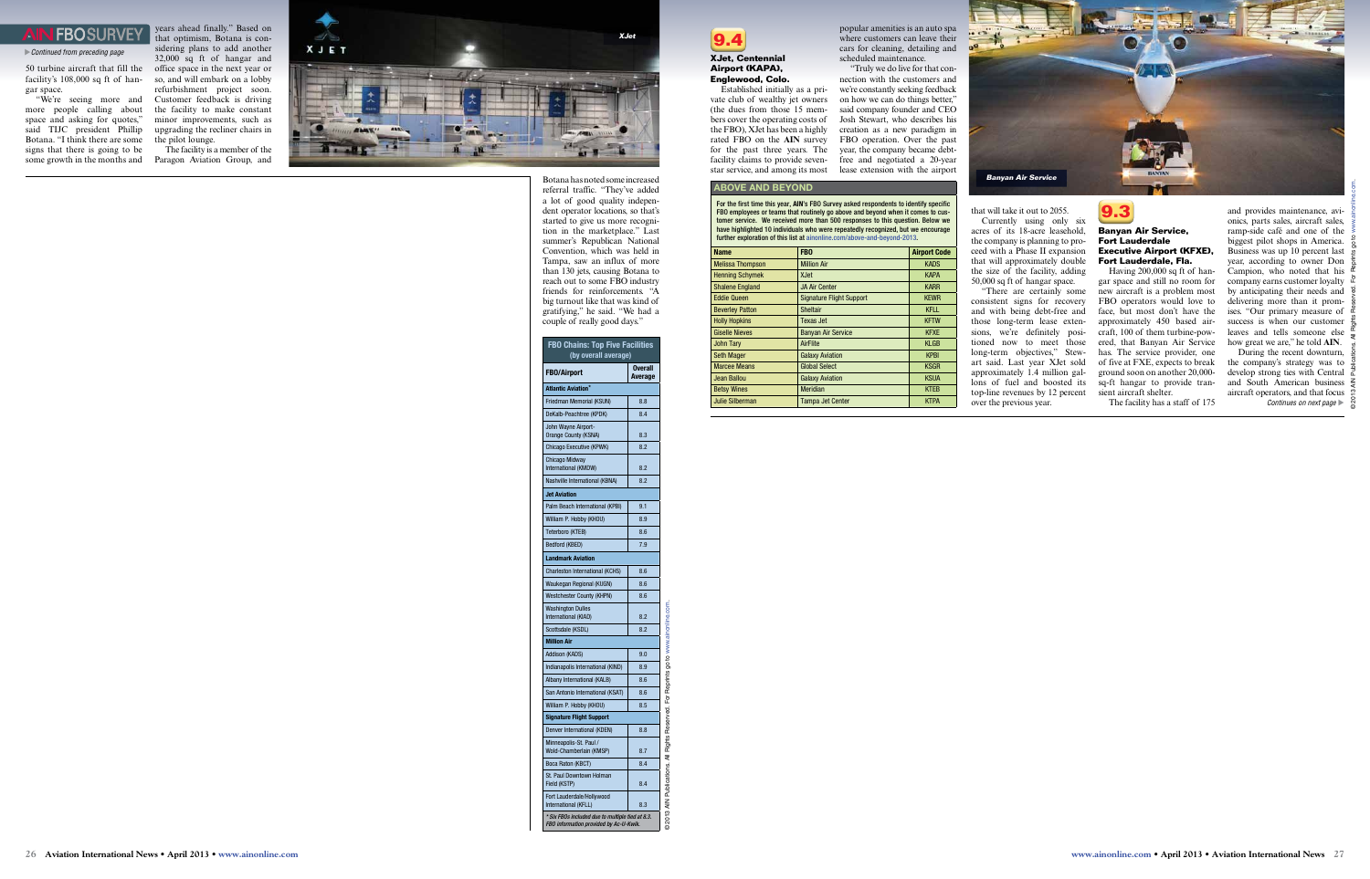50 turbine aircraft that fill the facility's 108,000 sq ft of han gar space.

"We're seeing more and more people calling about space and asking for quotes," said TIJC president Phillip Botana. "I think there are some signs that there is going to be some growth in the months and

years ahead finally." Based on that optimism, Botana is con sidering plans to add another 32,000 sq ft of hangar and office space in the next year or so, and will embark on a lobby refurbishment project soon. Customer feedback is driving the facility to make constant minor improvements, such as upgrading the recliner chairs in the pilot lounge.

The facility is a member of the Paragon Aviation Group, and

> Botana has noted some increased referral traffic. "They've added a lot of good quality indepen dent operator locations, so that's started to give us more recogni tion in the marketplace." Last summer's Republican National Convention, which was held in Tampa, saw an influx of more than 130 jets, causing Botana to reach out to some FBO industry friends for reinforcements. "A big turnout like that was kind of gratifying," he said. "We had a couple of really good days."



#### **XJet, Centennial Airport (KAPA), Englewood, Colo.**

Having 200,000 sq ft of han gar space and still no room for new aircraft is a problem most FBO operators would love to face, but most don't have the approximately 450 based air craft, 100 of them turbine-pow ered, that Banyan Air Service has. The service provider, one of five at FXE, expects to break ground soon on another 20,000 sq-ft hangar to provide tran sient aircraft shelter.

Established initially as a pri vate club of wealthy jet owners (the dues from those 15 mem bers cover the operating costs of the FBO), XJet has been a highly rated FBO on the **AIN** survey for the past three years. The facility claims to provide sevenstar service, and among its most

popular amenities is an auto spa where customers can leave their cars for cleaning, detailing and scheduled maintenance.

> During the recent downturn, the company's strategy was to develop strong ties with Central and South American business  $\frac{2}{5}$ aircraft operators, and that focus *Continues on next page*  $\triangleright$

"Truly we do live for that con nection with the customers and we're constantly seeking feedback on how we can do things better," said company founder and CEO Josh Stewart, who describes his creation as a new paradigm in FBO operation. Over the past year, the company became debtfree and negotiated a 20-year lease extension with the airport

For the first time this year, AIN's FBO Survey asked respondents to identify specific FBO employees or teams that routinely go above and beyond when it comes to cus tomer service. We received more than 500 responses to this question. Below we have highlighted 10 individuals who were repeatedly recognized, but we encourage further exploration of this list at [ainonline.com/above](http://www.ainonline.com/above-and-beyond-2013)-and-beyond-2013.

that will take it out to 2055.

Currently using only six acres of its 18-acre leasehold, the company is planning to pro ceed with a Phase II expansion that will approximately double the size of the facility, adding 50,000 sq ft of hangar space.

"There are certainly some consistent signs for recovery and with being debt-free and those long-term lease exten sions, we're definitely posi tioned now to meet those long-term objectives," Stewart said. Last year XJet sold approximately 1.4 million gal lons of fuel and boosted its top-line revenues by 12 percent over the previous year.



#### **Banyan Air Service, Fort Lauderdale Executive Airport (KFXE), Fort Lauderdale, Fla.**

The facility has a staff of 175

and provides maintenance, avi onics, parts sales, aircraft sales, ramp-side café and one of the biggest pilot shops in America. Business was up 10 percent last year, according to owner Don Campion, who noted that his company earns customer loyalty  $\overline{Q}$ by anticipating their needs and delivering more than it prom ises. "Our primary measure of success is when our customer leaves and tells someone else how great we are," he told **AIN** .

## **FBOSURVEY**

#### u*Continued from preceding page*

#### ABOVE AND BEYOND

| <b>Name</b>             | FB <sub>0</sub>                 | <b>Airport Code</b> |
|-------------------------|---------------------------------|---------------------|
| <b>Melissa Thompson</b> | <b>Million Air</b>              | <b>KADS</b>         |
| <b>Henning Schymek</b>  | <b>XJet</b>                     | <b>KAPA</b>         |
| <b>Shalene England</b>  | <b>JA Air Center</b>            | <b>KARR</b>         |
| <b>Eddie Queen</b>      | <b>Signature Flight Support</b> | <b>KEWR</b>         |
| <b>Beverley Patton</b>  | <b>Sheltair</b>                 | <b>KFLL</b>         |
| <b>Holly Hopkins</b>    | Texas Jet                       | <b>KFTW</b>         |
| <b>Giselle Nieves</b>   | <b>Banyan Air Service</b>       | <b>KFXE</b>         |
| <b>John Tary</b>        | AirFlite                        | <b>KLGB</b>         |
| <b>Seth Mager</b>       | <b>Galaxy Aviation</b>          | <b>KPBI</b>         |
| <b>Marcee Means</b>     | <b>Global Select</b>            | <b>KSGR</b>         |
| Jean Ballou             | <b>Galaxy Aviation</b>          | <b>KSUA</b>         |
| <b>Betsy Wines</b>      | <b>Meridian</b>                 | <b>KTEB</b>         |
| Julie Silberman         | <b>Tampa Jet Center</b>         | <b>KTPA</b>         |
|                         |                                 |                     |



| <b>FBO Chains: Top Five Facilities</b><br>(by overall average)                             |                    |  |
|--------------------------------------------------------------------------------------------|--------------------|--|
| <b>FBO/Airport</b>                                                                         | Overall<br>Average |  |
| <b>Atlantic Aviation*</b>                                                                  |                    |  |
| Friedman Memorial (KSUN)                                                                   | 8.8                |  |
| DeKalb-Peachtree (KPDK)                                                                    | 8.4                |  |
| John Wayne Airport-<br>Orange County (KSNA)                                                | 8.3                |  |
| Chicago Executive (KPWK)                                                                   | 8.2                |  |
| Chicago Midway<br>International (KMDW)                                                     | 8.2                |  |
| Nashville International (KBNA)                                                             | 8.2                |  |
| <b>Jet Aviation</b>                                                                        |                    |  |
| Palm Beach International (KPBI)                                                            | 9.1                |  |
| William P. Hobby (KHOU)                                                                    | 8.9                |  |
| Teterboro (KTEB)                                                                           | 8.6                |  |
| Bedford (KBED)                                                                             | 7.9                |  |
| <b>Landmark Aviation</b>                                                                   |                    |  |
| Charleston International (KCHS)                                                            | 8.6                |  |
| Waukegan Regional (KUGN)                                                                   | 8.6                |  |
| <b>Westchester County (KHPN)</b>                                                           | 8.6                |  |
| <b>Washington Dulles</b><br>International (KIAD)                                           | 8.2                |  |
| Scottsdale (KSDL)                                                                          | 8.2                |  |
| <b>Million Air</b>                                                                         |                    |  |
| Addison (KADS)                                                                             | 9.0                |  |
| Indianapolis International (KIND)                                                          | 8.9                |  |
| Albany International (KALB)                                                                | 8.6                |  |
| San Antonio International (KSAT)                                                           | 8.6                |  |
| William P. Hobby (KHOU)                                                                    | 8.5                |  |
| <b>Signature Flight Support</b>                                                            |                    |  |
| Denver International (KDEN)                                                                | 8.8                |  |
| Minneapolis-St. Paul /<br>Wold-Chamberlain (KMSP)                                          | 8.7                |  |
| Boca Raton (KBCT)                                                                          | 8.4                |  |
| St. Paul Downtown Holman<br>Field (KSTP)                                                   | 8.4                |  |
| Fort Lauderdale/Hollywood<br>International (KFLL)                                          | 8.3                |  |
| * Six FBOs included due to multiple tied at 8.3.<br>FBO information provided by Ac-U-Kwik. |                    |  |



© 2013 AIN Publications. All Rights Reserved. For Reprints go to <www.ainonline.com>.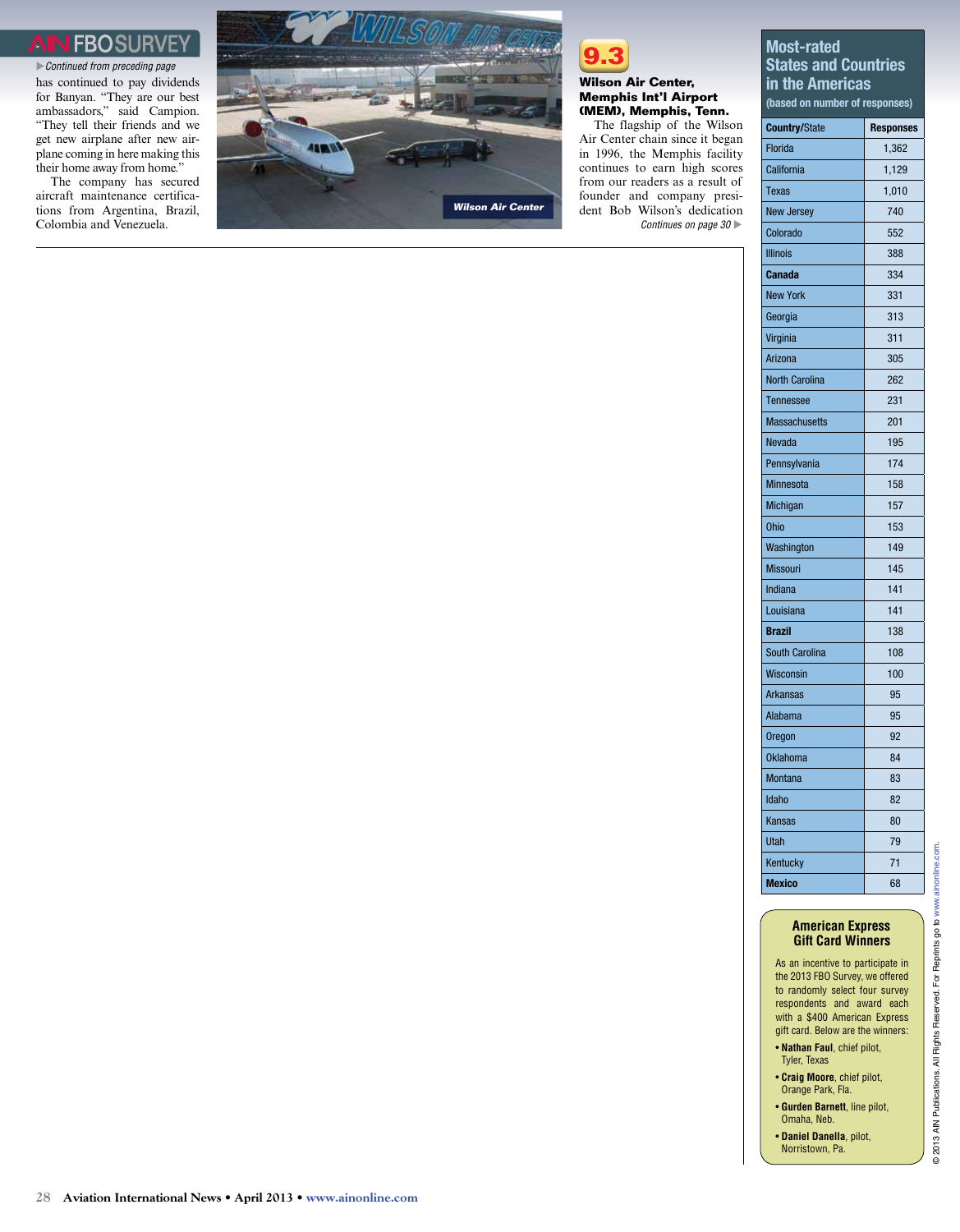## FROSI

has continued to pay dividends for Banyan. "They are our best ambassadors," said Campion. "They tell their friends and we get new airplane after new airplane coming in here making this their home away from home." u*Continued from preceding page*

The company has secured aircraft maintenance certifications from Argentina, Brazil, Colombia and Venezuela.





#### **Wilson Air Center, Memphis Int'l Airport (MEM), Memphis, Tenn.**

The flagship of the Wilson Air Center chain since it began in 1996, the Memphis facility continues to earn high scores from our readers as a result of founder and company president Bob Wilson's dedication *Continues on page 30* 

#### Most-rated States and Countries in the Americas

(based on number of responses)

| <b>Country/State</b>  | <b>Responses</b> |
|-----------------------|------------------|
| Florida               | 1,362            |
| California            | 1,129            |
| Texas                 | 1,010            |
| <b>New Jersey</b>     | 740              |
| Colorado              | 552              |
| <b>Illinois</b>       | 388              |
| <b>Canada</b>         | 334              |
| <b>New York</b>       | 331              |
| Georgia               | 313              |
| Virginia              | 311              |
| Arizona               | 305              |
| <b>North Carolina</b> | 262              |
| Tennessee             | 231              |
| <b>Massachusetts</b>  | 201              |
| Nevada                | 195              |
| Pennsylvania          | 174              |
| Minnesota             | 158              |
| Michigan              | 157              |
| <b>Ohio</b>           | 153              |
| Washington            | 149              |
| <b>Missouri</b>       | 145              |
| Indiana               | 141              |
| Louisiana             | 141              |
| <b>Brazil</b>         | 138              |
| <b>South Carolina</b> | 108              |
| Wisconsin             | 100              |
| <b>Arkansas</b>       | 95               |
| Alabama               | 95               |
| <b>Oregon</b>         | 92               |
| <b>Oklahoma</b>       | 84               |
| Montana               | 83               |
| Idaho                 | 82               |
| Kansas                | 80               |
| Utah                  | 79               |
| Kentucky              | 71               |
| <b>Mexico</b>         | 68               |

#### **American Express Gift Card Winners**

As an incentive to participate in the 2013 FBO Survey, we offered to randomly select four survey respondents and award each with a \$400 American Express gift card. Below are the winners:

- **Nathan Faul**, chief pilot, Tyler, Texas
- **Craig Moore**, chief pilot, Orange Park, Fla.
- **Gurden Barnett**, line pilot, Omaha, Neb.
- **Daniel Danella**, pilot, Norristown, Pa.